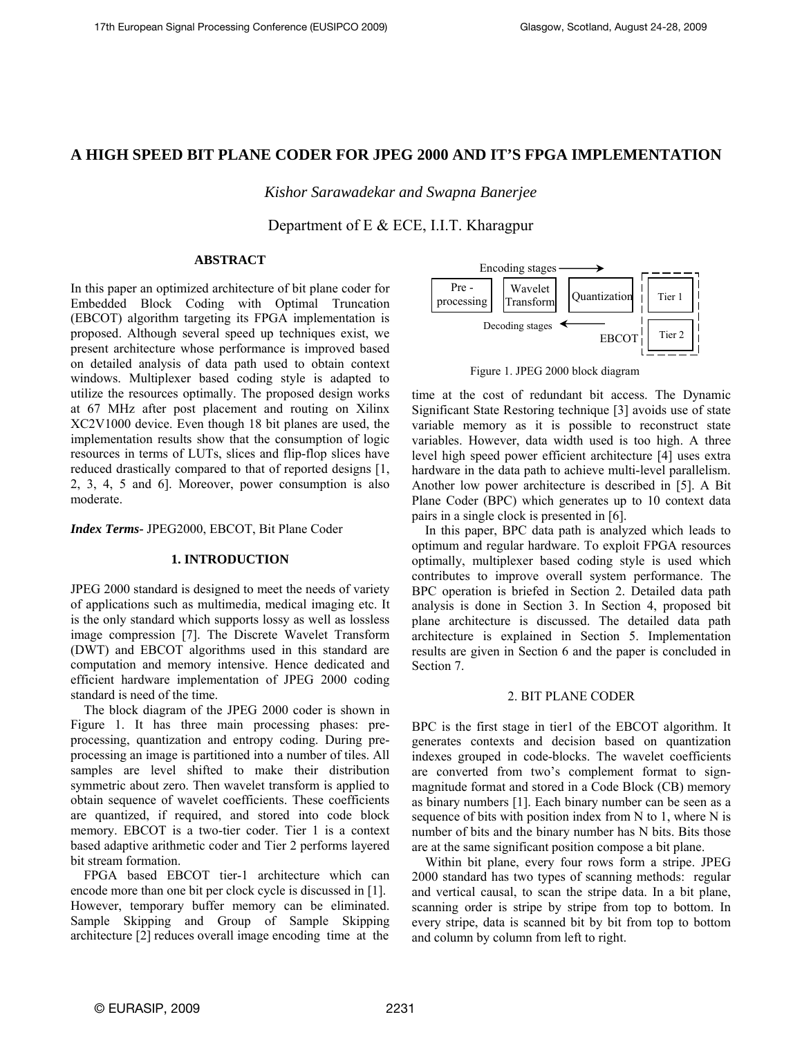# **A HIGH SPEED BIT PLANE CODER FOR JPEG 2000 AND IT'S FPGA IMPLEMENTATION**

*Kishor Sarawadekar and Swapna Banerjee* 

Department of E & ECE, I.I.T. Kharagpur

## **ABSTRACT**

In this paper an optimized architecture of bit plane coder for Embedded Block Coding with Optimal Truncation (EBCOT) algorithm targeting its FPGA implementation is proposed. Although several speed up techniques exist, we present architecture whose performance is improved based on detailed analysis of data path used to obtain context windows. Multiplexer based coding style is adapted to utilize the resources optimally. The proposed design works at 67 MHz after post placement and routing on Xilinx XC2V1000 device. Even though 18 bit planes are used, the implementation results show that the consumption of logic resources in terms of LUTs, slices and flip-flop slices have reduced drastically compared to that of reported designs [1, 2, 3, 4, 5 and 6]. Moreover, power consumption is also moderate.

*Index Terms-* JPEG2000, EBCOT, Bit Plane Coder

## **1. INTRODUCTION**

JPEG 2000 standard is designed to meet the needs of variety of applications such as multimedia, medical imaging etc. It is the only standard which supports lossy as well as lossless image compression [7]. The Discrete Wavelet Transform (DWT) and EBCOT algorithms used in this standard are computation and memory intensive. Hence dedicated and efficient hardware implementation of JPEG 2000 coding standard is need of the time.

The block diagram of the JPEG 2000 coder is shown in Figure 1. It has three main processing phases: preprocessing, quantization and entropy coding. During preprocessing an image is partitioned into a number of tiles. All samples are level shifted to make their distribution symmetric about zero. Then wavelet transform is applied to obtain sequence of wavelet coefficients. These coefficients are quantized, if required, and stored into code block memory. EBCOT is a two-tier coder. Tier 1 is a context based adaptive arithmetic coder and Tier 2 performs layered bit stream formation.

FPGA based EBCOT tier-1 architecture which can encode more than one bit per clock cycle is discussed in [1]. However, temporary buffer memory can be eliminated. Sample Skipping and Group of Sample Skipping architecture [2] reduces overall image encoding time at the



Figure 1. JPEG 2000 block diagram

time at the cost of redundant bit access. The Dynamic Significant State Restoring technique [3] avoids use of state variable memory as it is possible to reconstruct state variables. However, data width used is too high. A three level high speed power efficient architecture [4] uses extra hardware in the data path to achieve multi-level parallelism. Another low power architecture is described in [5]. A Bit Plane Coder (BPC) which generates up to 10 context data pairs in a single clock is presented in [6].

In this paper, BPC data path is analyzed which leads to optimum and regular hardware. To exploit FPGA resources optimally, multiplexer based coding style is used which contributes to improve overall system performance. The BPC operation is briefed in Section 2. Detailed data path analysis is done in Section 3. In Section 4, proposed bit plane architecture is discussed. The detailed data path architecture is explained in Section 5. Implementation results are given in Section 6 and the paper is concluded in Section 7.

## 2. BIT PLANE CODER

BPC is the first stage in tier1 of the EBCOT algorithm. It generates contexts and decision based on quantization indexes grouped in code-blocks. The wavelet coefficients are converted from two's complement format to signmagnitude format and stored in a Code Block (CB) memory as binary numbers [1]. Each binary number can be seen as a sequence of bits with position index from N to 1, where N is number of bits and the binary number has N bits. Bits those are at the same significant position compose a bit plane.

Within bit plane, every four rows form a stripe. JPEG 2000 standard has two types of scanning methods: regular and vertical causal, to scan the stripe data. In a bit plane, scanning order is stripe by stripe from top to bottom. In every stripe, data is scanned bit by bit from top to bottom and column by column from left to right.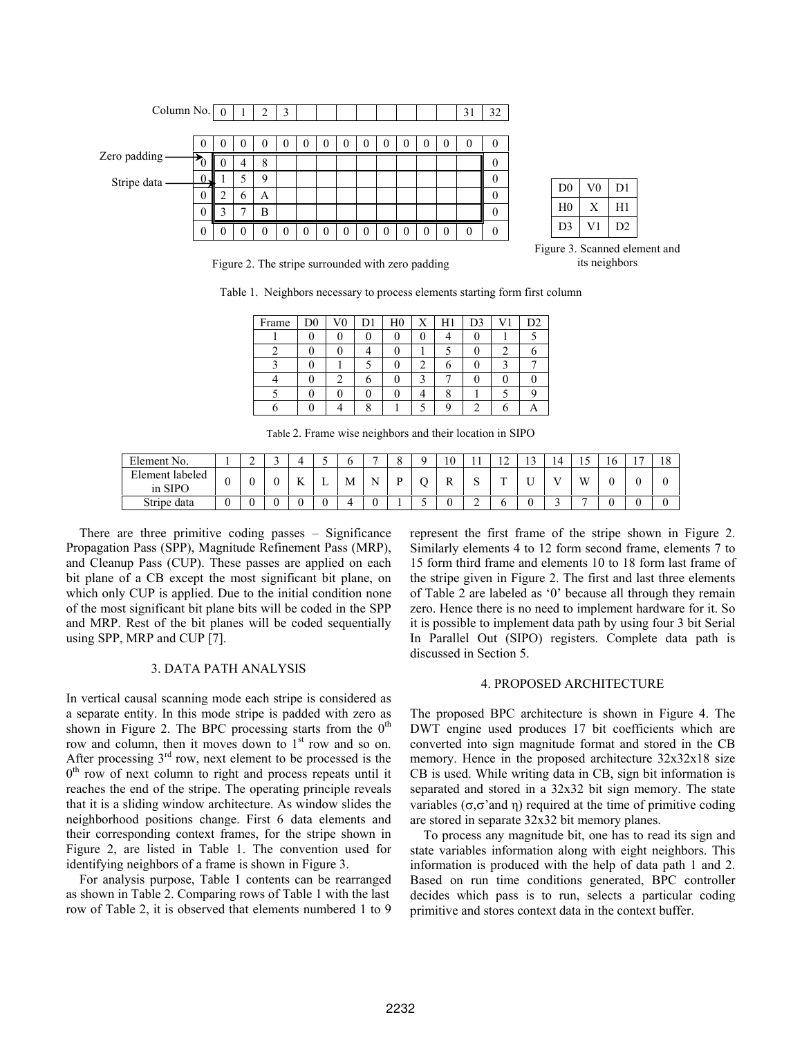| Column No. $\boxed{0}$ |          |                  |              | $\overline{2}$ | 3 |  |   |          |          |          | 31 | 32 |                |    |                |
|------------------------|----------|------------------|--------------|----------------|---|--|---|----------|----------|----------|----|----|----------------|----|----------------|
|                        |          |                  |              |                |   |  |   |          |          |          |    |    |                |    |                |
|                        | 0        |                  |              |                |   |  |   | $\theta$ | O        | $\theta$ |    | 0  |                |    |                |
| Zero padding-          | $\tau_0$ | $\boldsymbol{0}$ |              | 8              |   |  |   |          |          |          |    | 0  |                |    |                |
| Stripe data            |          |                  |              | 9              |   |  |   |          |          |          |    | 0  |                |    |                |
|                        | $\theta$ | ◠                | <sub>0</sub> | A              |   |  |   |          |          |          |    | 0  | D <sub>0</sub> | V0 | D1             |
|                        | $\theta$ | ◠                |              | B              |   |  |   |          |          |          |    | 0  | H <sub>0</sub> | Х  | H1             |
|                        | $\theta$ |                  |              |                |   |  | 0 | 0        | $\left($ | $\theta$ |    |    | D3             |    | D <sub>2</sub> |

| D <sub>0</sub> | 70 | DТ |
|----------------|----|----|
| H <sub>0</sub> |    | H1 |
| D3             |    | D2 |

Figure 2. The stripe surrounded with zero padding

Figure 3. Scanned element and its neighbors

|  |  | Table 1. Neighbors necessary to process elements starting form first column |  |  |  |  |  |  |
|--|--|-----------------------------------------------------------------------------|--|--|--|--|--|--|
|--|--|-----------------------------------------------------------------------------|--|--|--|--|--|--|

| Frame | D0 | $_{\rm V0}$ | D1 | H <sub>0</sub> | H1 | D3 | D2 |
|-------|----|-------------|----|----------------|----|----|----|
|       |    |             |    |                |    |    |    |
|       |    |             |    |                |    |    |    |
|       |    |             |    |                |    |    |    |
|       |    |             |    |                |    |    |    |
|       |    |             |    |                |    |    |    |
|       |    |             |    |                |    |    |    |

Table 2. Frame wise neighbors and their location in SIPO

| Element No.                |   | ◠<br>∸ |          |   |   | - |   | 10 |   | $\sim$<br>$\overline{1}$ | $\sim$ | 14            | -<br>1J | 16 | - | $\Omega$<br>10 |
|----------------------------|---|--------|----------|---|---|---|---|----|---|--------------------------|--------|---------------|---------|----|---|----------------|
| Element labeled<br>in SIPO |   |        | TZ.<br>A | ∸ | M | N | D | K. | ື | <b>TIP</b>               | ∼      | $\sim$ $\sim$ | W       |    |   |                |
| Stripe data                | U |        |          |   |   |   |   | ν  | - |                          |        | -             | -       |    |   |                |

There are three primitive coding passes – Significance Propagation Pass (SPP), Magnitude Refinement Pass (MRP), and Cleanup Pass (CUP). These passes are applied on each bit plane of a CB except the most significant bit plane, on which only CUP is applied. Due to the initial condition none of the most significant bit plane bits will be coded in the SPP and MRP. Rest of the bit planes will be coded sequentially using SPP, MRP and CUP [7].

### 3. DATA PATH ANALYSIS

In vertical causal scanning mode each stripe is considered as a separate entity. In this mode stripe is padded with zero as shown in Figure 2. The BPC processing starts from the  $0<sup>th</sup>$ row and column, then it moves down to  $1<sup>st</sup>$  row and so on. After processing  $3<sup>rd</sup>$  row, next element to be processed is the  $0<sup>th</sup>$  row of next column to right and process repeats until it reaches the end of the stripe. The operating principle reveals that it is a sliding window architecture. As window slides the neighborhood positions change. First 6 data elements and their corresponding context frames, for the stripe shown in Figure 2, are listed in Table 1. The convention used for identifying neighbors of a frame is shown in Figure 3.

For analysis purpose, Table 1 contents can be rearranged as shown in Table 2. Comparing rows of Table 1 with the last row of Table 2, it is observed that elements numbered 1 to 9 represent the first frame of the stripe shown in Figure 2. Similarly elements 4 to 12 form second frame, elements 7 to 15 form third frame and elements 10 to 18 form last frame of the stripe given in Figure 2. The first and last three elements of Table 2 are labeled as '0' because all through they remain zero. Hence there is no need to implement hardware for it. So it is possible to implement data path by using four 3 bit Serial In Parallel Out (SIPO) registers. Complete data path is discussed in Section 5.

#### 4. PROPOSED ARCHITECTURE

The proposed BPC architecture is shown in Figure 4. The DWT engine used produces 17 bit coefficients which are converted into sign magnitude format and stored in the CB memory. Hence in the proposed architecture  $32x32x18$  size CB is used. While writing data in CB, sign bit information is separated and stored in a 32x32 bit sign memory. The state variables (σ,σ'and η) required at the time of primitive coding are stored in separate 32x32 bit memory planes.

To process any magnitude bit, one has to read its sign and state variables information along with eight neighbors. This information is produced with the help of data path 1 and 2. Based on run time conditions generated, BPC controller decides which pass is to run, selects a particular coding primitive and stores context data in the context buffer.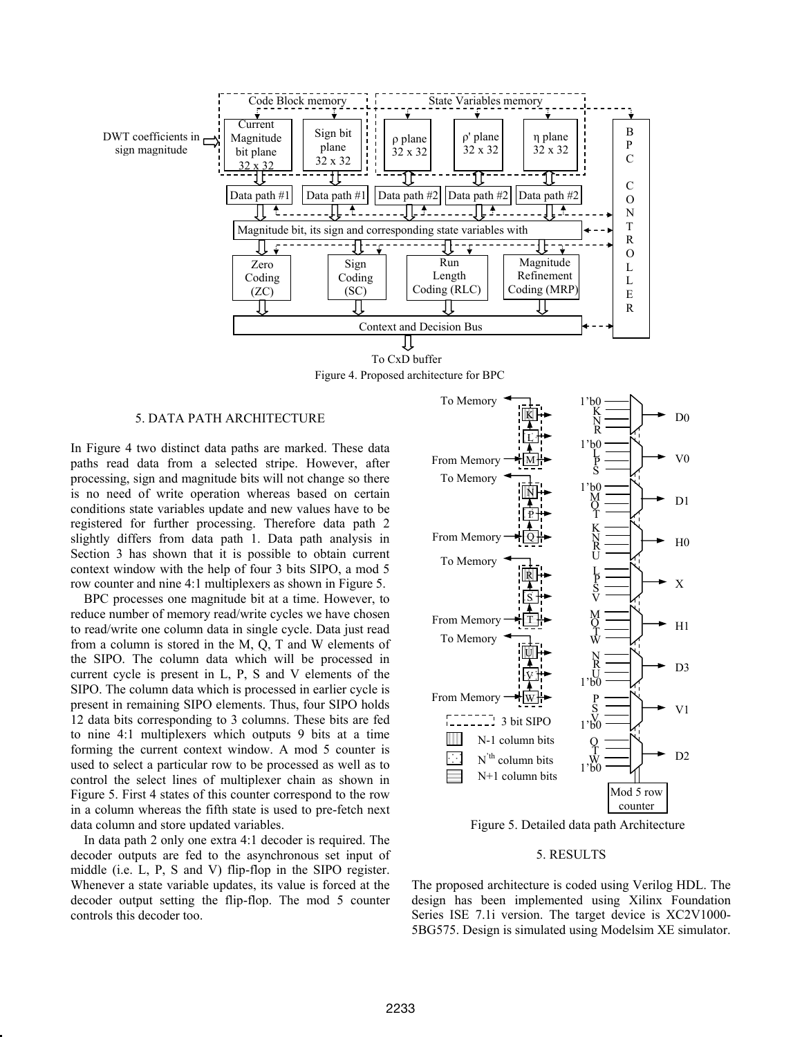

To CxD buffer Figure 4. Proposed architecture for BPC

#### 5. DATA PATH ARCHITECTURE

In Figure 4 two distinct data paths are marked. These data paths read data from a selected stripe. However, after processing, sign and magnitude bits will not change so there is no need of write operation whereas based on certain conditions state variables update and new values have to be registered for further processing. Therefore data path 2 slightly differs from data path 1. Data path analysis in Section 3 has shown that it is possible to obtain current context window with the help of four 3 bits SIPO, a mod 5 row counter and nine 4:1 multiplexers as shown in Figure 5.

BPC processes one magnitude bit at a time. However, to reduce number of memory read/write cycles we have chosen to read/write one column data in single cycle. Data just read from a column is stored in the M, Q, T and W elements of the SIPO. The column data which will be processed in current cycle is present in L, P, S and V elements of the SIPO. The column data which is processed in earlier cycle is present in remaining SIPO elements. Thus, four SIPO holds 12 data bits corresponding to 3 columns. These bits are fed to nine 4:1 multiplexers which outputs 9 bits at a time forming the current context window. A mod 5 counter is used to select a particular row to be processed as well as to control the select lines of multiplexer chain as shown in Figure 5. First 4 states of this counter correspond to the row in a column whereas the fifth state is used to pre-fetch next data column and store updated variables.

In data path 2 only one extra 4:1 decoder is required. The decoder outputs are fed to the asynchronous set input of middle (i.e. L, P, S and V) flip-flop in the SIPO register. Whenever a state variable updates, its value is forced at the decoder output setting the flip-flop. The mod 5 counter controls this decoder too.



Figure 5. Detailed data path Architecture

#### 5. RESULTS

The proposed architecture is coded using Verilog HDL. The design has been implemented using Xilinx Foundation Series ISE 7.1i version. The target device is XC2V1000- 5BG575. Design is simulated using Modelsim XE simulator.